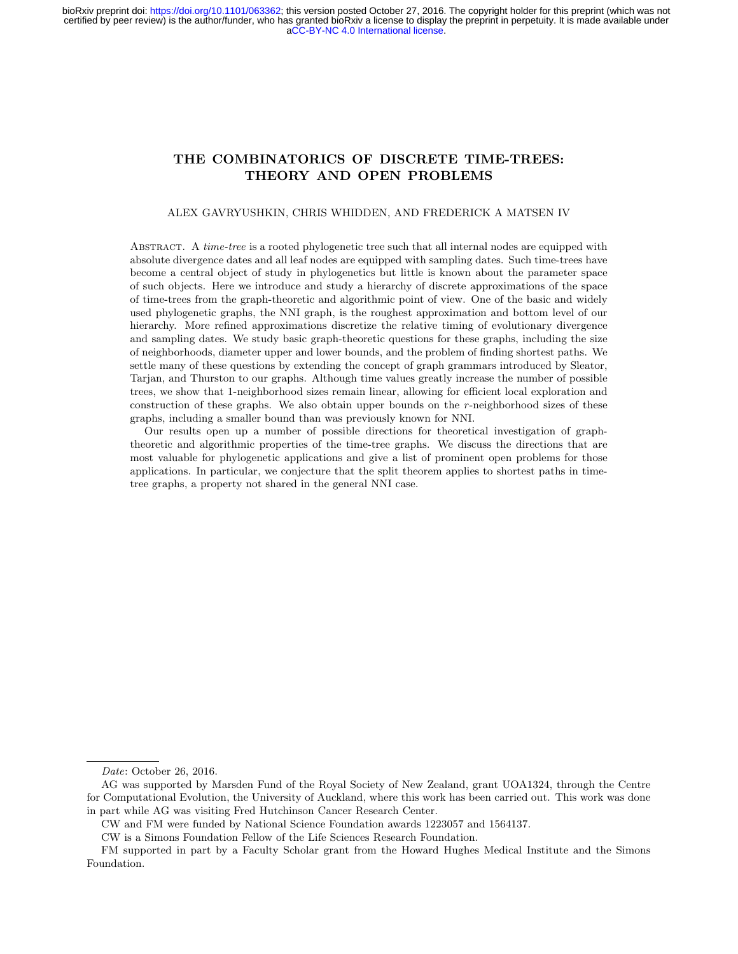# THE COMBINATORICS OF DISCRETE TIME-TREES: THEORY AND OPEN PROBLEMS

### ALEX GAVRYUSHKIN, CHRIS WHIDDEN, AND FREDERICK A MATSEN IV

ABSTRACT. A *time-tree* is a rooted phylogenetic tree such that all internal nodes are equipped with absolute divergence dates and all leaf nodes are equipped with sampling dates. Such time-trees have become a central object of study in phylogenetics but little is known about the parameter space of such objects. Here we introduce and study a hierarchy of discrete approximations of the space of time-trees from the graph-theoretic and algorithmic point of view. One of the basic and widely used phylogenetic graphs, the NNI graph, is the roughest approximation and bottom level of our hierarchy. More refined approximations discretize the relative timing of evolutionary divergence and sampling dates. We study basic graph-theoretic questions for these graphs, including the size of neighborhoods, diameter upper and lower bounds, and the problem of finding shortest paths. We settle many of these questions by extending the concept of graph grammars introduced by Sleator, Tarjan, and Thurston to our graphs. Although time values greatly increase the number of possible trees, we show that 1-neighborhood sizes remain linear, allowing for efficient local exploration and construction of these graphs. We also obtain upper bounds on the r-neighborhood sizes of these graphs, including a smaller bound than was previously known for NNI.

Our results open up a number of possible directions for theoretical investigation of graphtheoretic and algorithmic properties of the time-tree graphs. We discuss the directions that are most valuable for phylogenetic applications and give a list of prominent open problems for those applications. In particular, we conjecture that the split theorem applies to shortest paths in timetree graphs, a property not shared in the general NNI case.

Date: October 26, 2016.

AG was supported by Marsden Fund of the Royal Society of New Zealand, grant UOA1324, through the Centre for Computational Evolution, the University of Auckland, where this work has been carried out. This work was done in part while AG was visiting Fred Hutchinson Cancer Research Center.

CW and FM were funded by National Science Foundation awards 1223057 and 1564137.

CW is a Simons Foundation Fellow of the Life Sciences Research Foundation.

FM supported in part by a Faculty Scholar grant from the Howard Hughes Medical Institute and the Simons Foundation.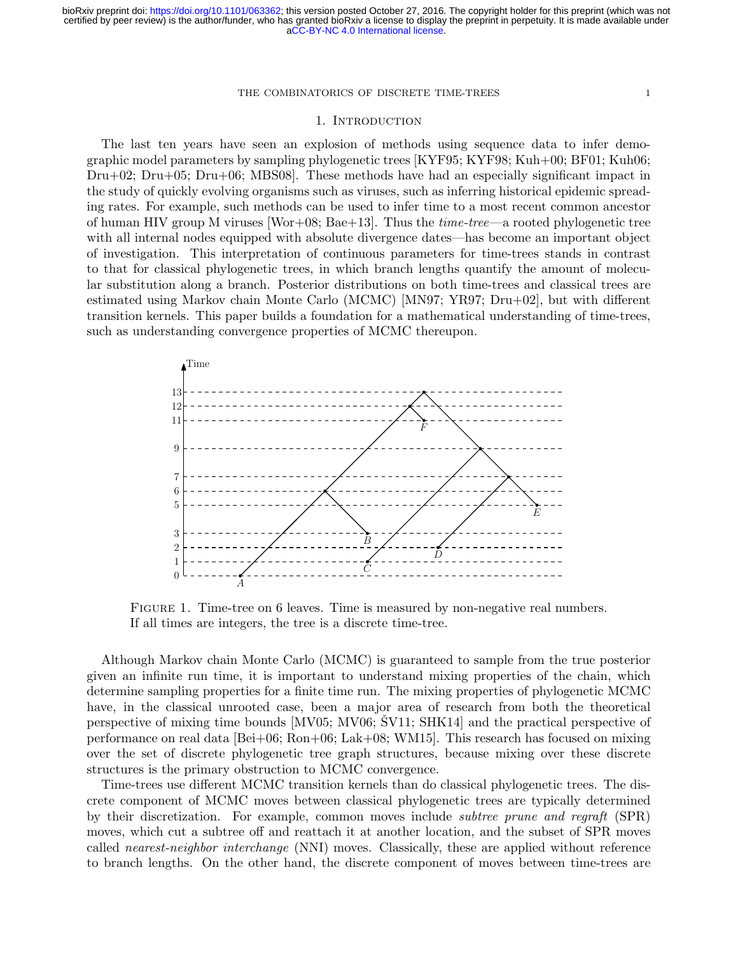## 1. Introduction

The last ten years have seen an explosion of methods using sequence data to infer demographic model parameters by sampling phylogenetic trees [\[KYF95;](#page-16-0) [KYF98;](#page-16-1) [Kuh+00;](#page-16-2) [BF01;](#page-15-0) [Kuh06;](#page-16-3) [Dru+02;](#page-15-1) [Dru+05;](#page-15-2) [Dru+06;](#page-15-3) [MBS08\]](#page-16-4). These methods have had an especially significant impact in the study of quickly evolving organisms such as viruses, such as inferring historical epidemic spreading rates. For example, such methods can be used to infer time to a most recent common ancestor of human HIV group M viruses  $[Wor+08; Bae+13]$  $[Wor+08; Bae+13]$ . Thus the *time-tree—a* rooted phylogenetic tree with all internal nodes equipped with absolute divergence dates—has become an important object of investigation. This interpretation of continuous parameters for time-trees stands in contrast to that for classical phylogenetic trees, in which branch lengths quantify the amount of molecular substitution along a branch. Posterior distributions on both time-trees and classical trees are estimated using Markov chain Monte Carlo (MCMC) [\[MN97;](#page-16-5) [YR97;](#page-17-1) [Dru+02\]](#page-15-1), but with different transition kernels. This paper builds a foundation for a mathematical understanding of time-trees, such as understanding convergence properties of MCMC thereupon.



<span id="page-1-0"></span>FIGURE 1. Time-tree on 6 leaves. Time is measured by non-negative real numbers. If all times are integers, the tree is a discrete time-tree.

Although Markov chain Monte Carlo (MCMC) is guaranteed to sample from the true posterior given an infinite run time, it is important to understand mixing properties of the chain, which determine sampling properties for a finite time run. The mixing properties of phylogenetic MCMC have, in the classical unrooted case, been a major area of research from both the theoretical perspective of mixing time bounds  $\text{MV05}$ ; [MV06;](#page-17-2) [SV11;](#page-17-3) SHK14 and the practical perspective of performance on real data [\[Bei+06;](#page-15-5) [Ron+06;](#page-17-5) [Lak+08;](#page-16-7) [WM15\]](#page-17-6). This research has focused on mixing over the set of discrete phylogenetic tree graph structures, because mixing over these discrete structures is the primary obstruction to MCMC convergence.

Time-trees use different MCMC transition kernels than do classical phylogenetic trees. The discrete component of MCMC moves between classical phylogenetic trees are typically determined by their discretization. For example, common moves include subtree prune and regraft (SPR) moves, which cut a subtree off and reattach it at another location, and the subset of SPR moves called nearest-neighbor interchange (NNI) moves. Classically, these are applied without reference to branch lengths. On the other hand, the discrete component of moves between time-trees are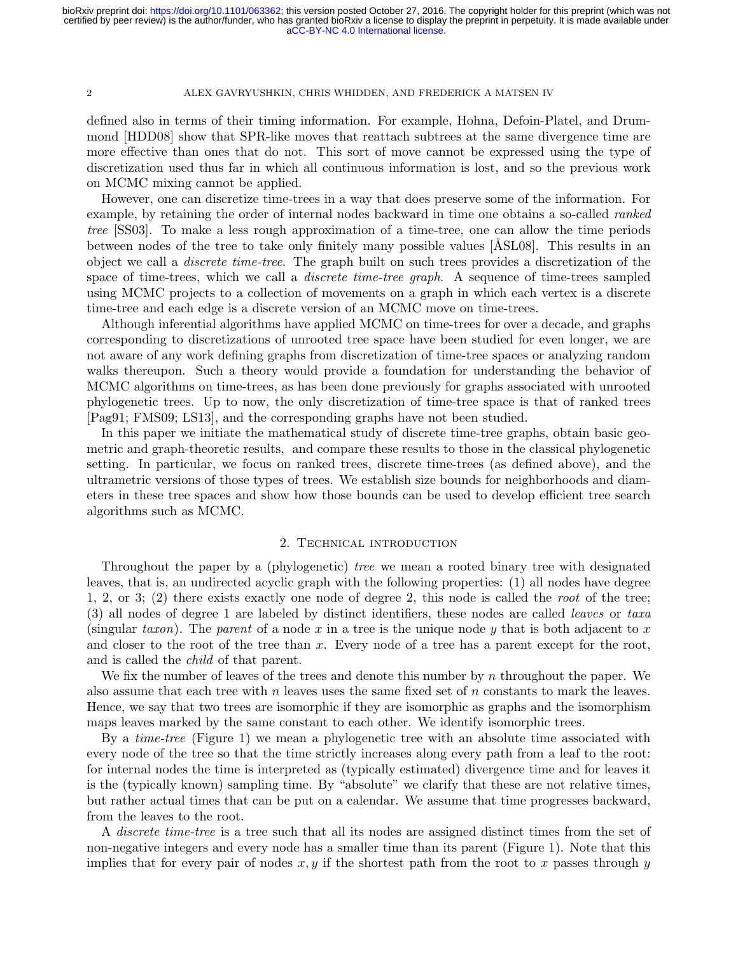defined also in terms of their timing information. For example, Hohna, Defoin-Platel, and Drummond [\[HDD08\]](#page-16-8) show that SPR-like moves that reattach subtrees at the same divergence time are more effective than ones that do not. This sort of move cannot be expressed using the type of discretization used thus far in which all continuous information is lost, and so the previous work on MCMC mixing cannot be applied.

However, one can discretize time-trees in a way that does preserve some of the information. For example, by retaining the order of internal nodes backward in time one obtains a so-called *ranked* tree [\[SS03\]](#page-17-7). To make a less rough approximation of a time-tree, one can allow the time periods between nodes of the tree to take only finitely many possible values [ÅSL08]. This results in an object we call a discrete time-tree. The graph built on such trees provides a discretization of the space of time-trees, which we call a *discrete time-tree graph*. A sequence of time-trees sampled using MCMC projects to a collection of movements on a graph in which each vertex is a discrete time-tree and each edge is a discrete version of an MCMC move on time-trees.

Although inferential algorithms have applied MCMC on time-trees for over a decade, and graphs corresponding to discretizations of unrooted tree space have been studied for even longer, we are not aware of any work defining graphs from discretization of time-tree spaces or analyzing random walks thereupon. Such a theory would provide a foundation for understanding the behavior of MCMC algorithms on time-trees, as has been done previously for graphs associated with unrooted phylogenetic trees. Up to now, the only discretization of time-tree space is that of ranked trees [\[Pag91;](#page-17-8) [FMS09;](#page-15-7) [LS13\]](#page-16-9), and the corresponding graphs have not been studied.

In this paper we initiate the mathematical study of discrete time-tree graphs, obtain basic geometric and graph-theoretic results, and compare these results to those in the classical phylogenetic setting. In particular, we focus on ranked trees, discrete time-trees (as defined above), and the ultrametric versions of those types of trees. We establish size bounds for neighborhoods and diameters in these tree spaces and show how those bounds can be used to develop efficient tree search algorithms such as MCMC.

## 2. Technical introduction

Throughout the paper by a (phylogenetic) tree we mean a rooted binary tree with designated leaves, that is, an undirected acyclic graph with the following properties: (1) all nodes have degree 1, 2, or 3; (2) there exists exactly one node of degree 2, this node is called the root of the tree; (3) all nodes of degree 1 are labeled by distinct identifiers, these nodes are called leaves or taxa (singular taxon). The parent of a node x in a tree is the unique node y that is both adjacent to x and closer to the root of the tree than x. Every node of a tree has a parent except for the root, and is called the child of that parent.

We fix the number of leaves of the trees and denote this number by  $n$  throughout the paper. We also assume that each tree with n leaves uses the same fixed set of n constants to mark the leaves. Hence, we say that two trees are isomorphic if they are isomorphic as graphs and the isomorphism maps leaves marked by the same constant to each other. We identify isomorphic trees.

By a time-tree (Figure [1\)](#page-1-0) we mean a phylogenetic tree with an absolute time associated with every node of the tree so that the time strictly increases along every path from a leaf to the root: for internal nodes the time is interpreted as (typically estimated) divergence time and for leaves it is the (typically known) sampling time. By "absolute" we clarify that these are not relative times, but rather actual times that can be put on a calendar. We assume that time progresses backward, from the leaves to the root.

A discrete time-tree is a tree such that all its nodes are assigned distinct times from the set of non-negative integers and every node has a smaller time than its parent (Figure [1\)](#page-1-0). Note that this implies that for every pair of nodes  $x, y$  if the shortest path from the root to x passes through y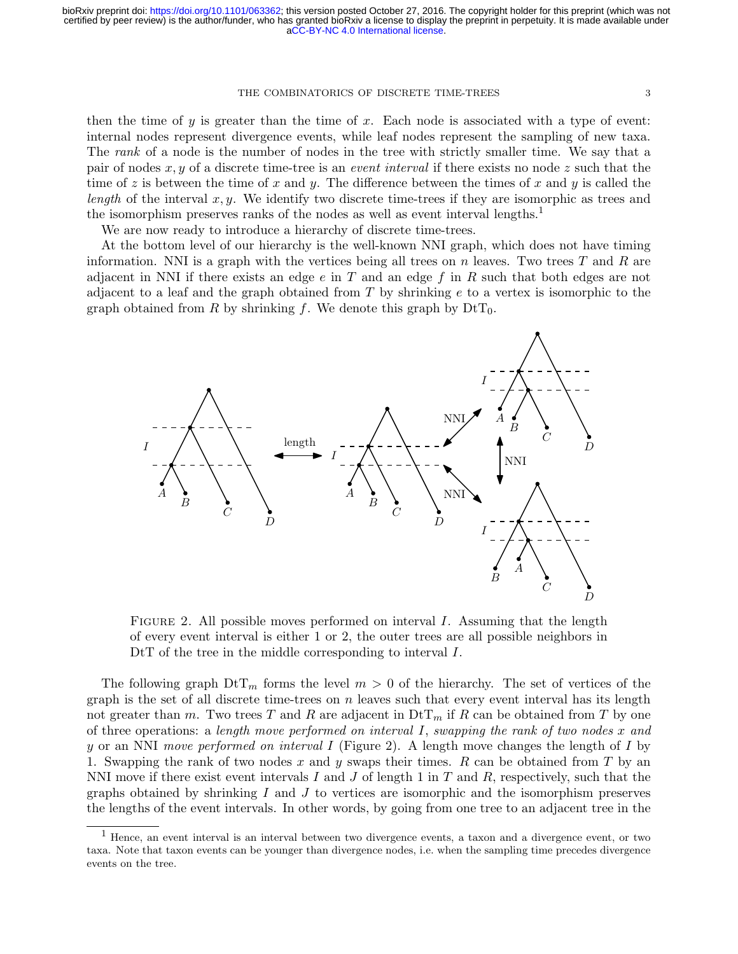then the time of  $y$  is greater than the time of  $x$ . Each node is associated with a type of event: internal nodes represent divergence events, while leaf nodes represent the sampling of new taxa. The rank of a node is the number of nodes in the tree with strictly smaller time. We say that a pair of nodes x, y of a discrete time-tree is an *event interval* if there exists no node z such that the time of z is between the time of x and y. The difference between the times of x and y is called the length of the interval  $x, y$ . We identify two discrete time-trees if they are isomorphic as trees and the isomorphism preserves ranks of the nodes as well as event interval lengths.<sup>[1](#page-3-0)</sup>

We are now ready to introduce a hierarchy of discrete time-trees.

At the bottom level of our hierarchy is the well-known NNI graph, which does not have timing information. NNI is a graph with the vertices being all trees on n leaves. Two trees  $T$  and  $R$  are adjacent in NNI if there exists an edge  $e$  in  $T$  and an edge  $f$  in  $R$  such that both edges are not adjacent to a leaf and the graph obtained from  $T$  by shrinking  $e$  to a vertex is isomorphic to the graph obtained from R by shrinking f. We denote this graph by  $D<sup>t</sup>T<sub>0</sub>$ .



<span id="page-3-1"></span>FIGURE 2. All possible moves performed on interval  $I$ . Assuming that the length of every event interval is either 1 or 2, the outer trees are all possible neighbors in DtT of the tree in the middle corresponding to interval I.

The following graph  $DT_m$  forms the level  $m > 0$  of the hierarchy. The set of vertices of the graph is the set of all discrete time-trees on  $n$  leaves such that every event interval has its length not greater than m. Two trees T and R are adjacent in  $\mathrm{Dtr}_{m}$  if R can be obtained from T by one of three operations: a length move performed on interval I, swapping the rank of two nodes x and y or an NNI move performed on interval I (Figure [2\)](#page-3-1). A length move changes the length of I by 1. Swapping the rank of two nodes x and y swaps their times. R can be obtained from T by an NNI move if there exist event intervals I and J of length 1 in T and R, respectively, such that the graphs obtained by shrinking  $I$  and  $J$  to vertices are isomorphic and the isomorphism preserves the lengths of the event intervals. In other words, by going from one tree to an adjacent tree in the

<span id="page-3-0"></span><sup>1</sup> Hence, an event interval is an interval between two divergence events, a taxon and a divergence event, or two taxa. Note that taxon events can be younger than divergence nodes, i.e. when the sampling time precedes divergence events on the tree.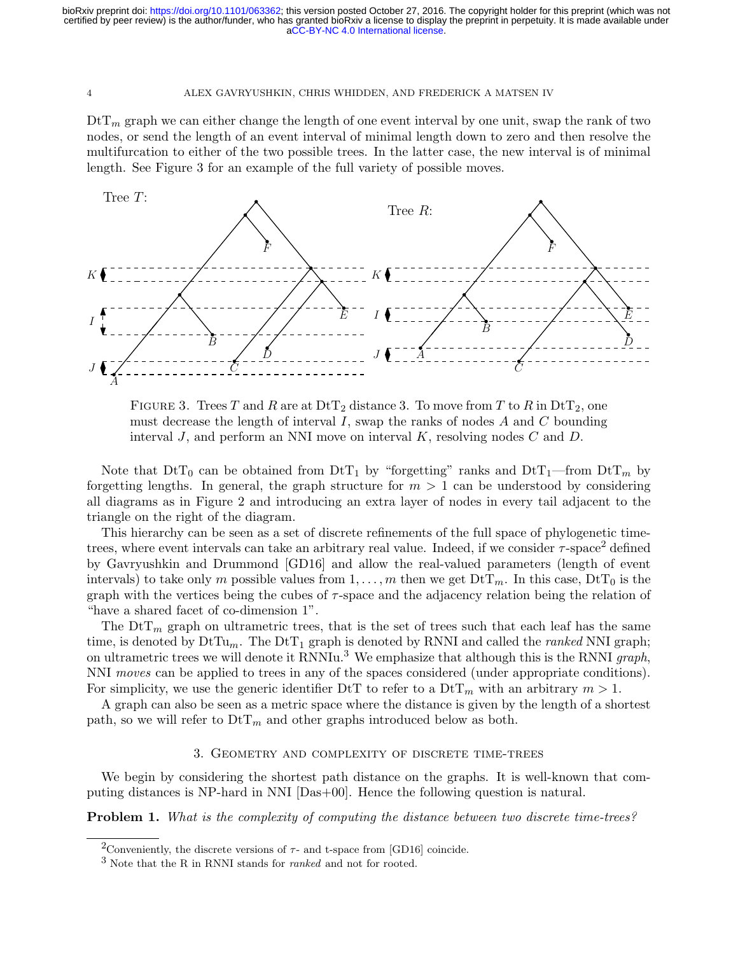$DtT_m$  graph we can either change the length of one event interval by one unit, swap the rank of two nodes, or send the length of an event interval of minimal length down to zero and then resolve the multifurcation to either of the two possible trees. In the latter case, the new interval is of minimal length. See Figure [3](#page-4-0) for an example of the full variety of possible moves.



<span id="page-4-0"></span>

Note that  $DtT_0$  can be obtained from  $DtT_1$  by "forgetting" ranks and  $DtT_1$ —from  $DtT_m$  by forgetting lengths. In general, the graph structure for  $m > 1$  can be understood by considering all diagrams as in Figure [2](#page-3-1) and introducing an extra layer of nodes in every tail adjacent to the triangle on the right of the diagram.

This hierarchy can be seen as a set of discrete refinements of the full space of phylogenetic timetrees, where event intervals can take an arbitrary real value. Indeed, if we consider  $\tau$ -space<sup>[2](#page-4-1)</sup> defined by Gavryushkin and Drummond [\[GD16\]](#page-16-10) and allow the real-valued parameters (length of event intervals) to take only m possible values from  $1, \ldots, m$  then we get  $D \text{t} T_m$ . In this case,  $D \text{t} T_0$  is the graph with the vertices being the cubes of  $\tau$ -space and the adjacency relation being the relation of "have a shared facet of co-dimension 1".

The  $\text{DtT}_m$  graph on ultrametric trees, that is the set of trees such that each leaf has the same time, is denoted by  $DtTu_m$ . The  $DtT_1$  graph is denoted by RNNI and called the *ranked* NNI graph; on ultrametric trees we will denote it RNNIu.<sup>[3](#page-4-2)</sup> We emphasize that although this is the RNNI graph, NNI moves can be applied to trees in any of the spaces considered (under appropriate conditions). For simplicity, we use the generic identifier DtT to refer to a  $DT_m$  with an arbitrary  $m > 1$ .

A graph can also be seen as a metric space where the distance is given by the length of a shortest path, so we will refer to  $DT_m$  and other graphs introduced below as both.

# 3. Geometry and complexity of discrete time-trees

We begin by considering the shortest path distance on the graphs. It is well-known that computing distances is NP-hard in NNI [\[Das+00\]](#page-15-8). Hence the following question is natural.

<span id="page-4-3"></span>Problem 1. What is the complexity of computing the distance between two discrete time-trees?

<span id="page-4-1"></span><sup>&</sup>lt;sup>2</sup>Conveniently, the discrete versions of  $\tau$ - and t-space from [\[GD16\]](#page-16-10) coincide.

<span id="page-4-2"></span> $3$  Note that the R in RNNI stands for *ranked* and not for rooted.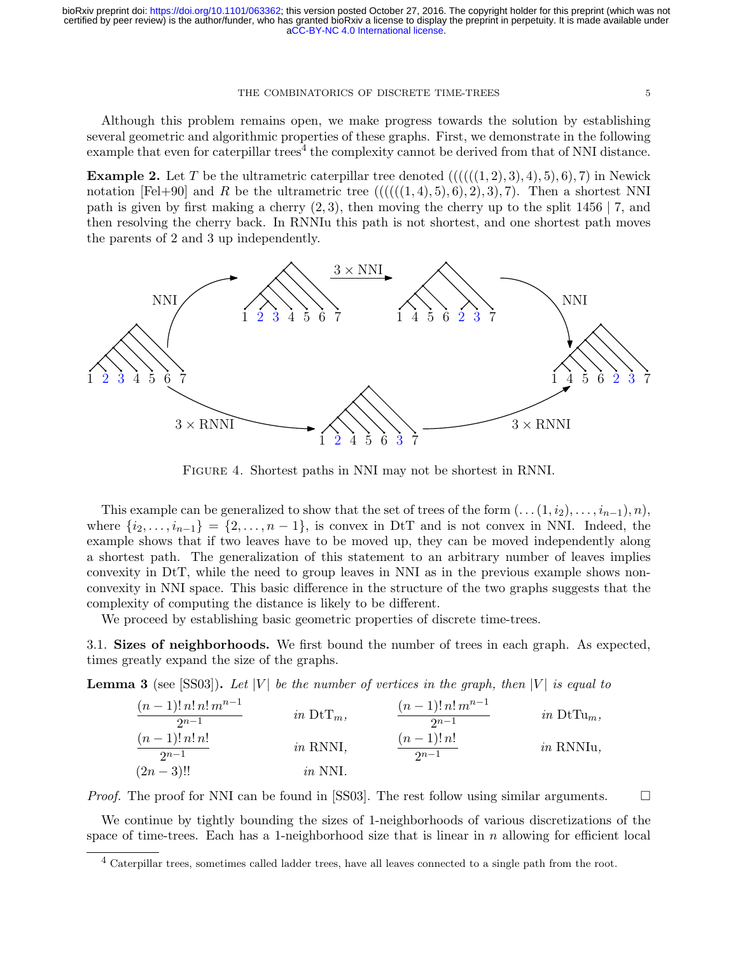Although this problem remains open, we make progress towards the solution by establishing several geometric and algorithmic properties of these graphs. First, we demonstrate in the following example that even for caterpillar trees<sup>[4](#page-5-0)</sup> the complexity cannot be derived from that of NNI distance.

**Example 2.** Let T be the ultrametric caterpillar tree denoted  $(((((1, 2), 3), 4), 5), 6), 7)$  in Newick notation [\[Fel+90\]](#page-15-9) and R be the ultrametric tree  $(((((1,4),5),6),2),3),7)$ . Then a shortest NNI path is given by first making a cherry  $(2, 3)$ , then moving the cherry up to the split 1456 | 7, and then resolving the cherry back. In RNNIu this path is not shortest, and one shortest path moves the parents of 2 and 3 up independently.



Figure 4. Shortest paths in NNI may not be shortest in RNNI.

This example can be generalized to show that the set of trees of the form  $(\ldots (1, i_2), \ldots, i_{n-1}), n),$ where  $\{i_2, \ldots, i_{n-1}\} = \{2, \ldots, n-1\}$ , is convex in DtT and is not convex in NNI. Indeed, the example shows that if two leaves have to be moved up, they can be moved independently along a shortest path. The generalization of this statement to an arbitrary number of leaves implies convexity in DtT, while the need to group leaves in NNI as in the previous example shows nonconvexity in NNI space. This basic difference in the structure of the two graphs suggests that the complexity of computing the distance is likely to be different.

We proceed by establishing basic geometric properties of discrete time-trees.

3.1. Sizes of neighborhoods. We first bound the number of trees in each graph. As expected, times greatly expand the size of the graphs.

**Lemma 3** (see [\[SS03\]](#page-17-7)). Let |V| be the number of vertices in the graph, then  $|V|$  is equal to

| $(n-1)!$ n! $n!$ $m^{n-1}$<br>$2n-1$ | in $\mathrm{DtT}_m$ , | $(n-1)! n! m^{n-1}$<br>$2n-1$ | in $DtTu_m$ ,    |
|--------------------------------------|-----------------------|-------------------------------|------------------|
| $(n-1)! n! n!$<br>$2n-1$             | $in$ RNNI,            | $(n-1)! n!$<br>$2n-1$         | <i>in</i> RNNIu, |
| $(2n-3)!!$                           | <i>in</i> NNI.        |                               |                  |

*Proof.* The proof for NNI can be found in [\[SS03\]](#page-17-7). The rest follow using similar arguments.  $\square$ 

We continue by tightly bounding the sizes of 1-neighborhoods of various discretizations of the space of time-trees. Each has a 1-neighborhood size that is linear in  $n$  allowing for efficient local

<span id="page-5-0"></span><sup>4</sup> Caterpillar trees, sometimes called ladder trees, have all leaves connected to a single path from the root.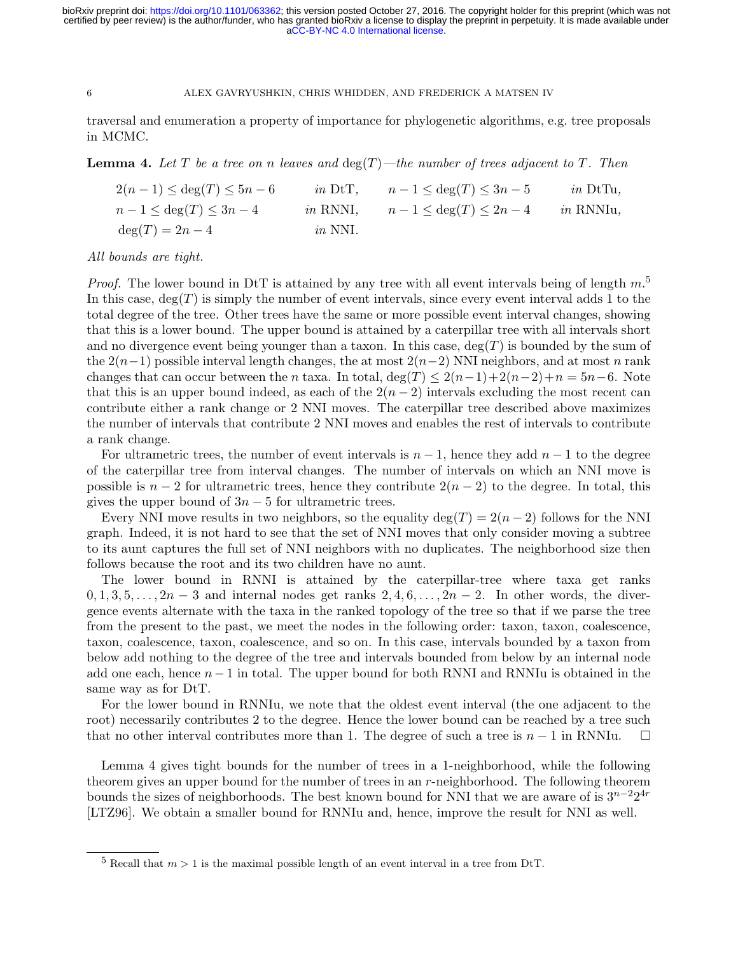traversal and enumeration a property of importance for phylogenetic algorithms, e.g. tree proposals in MCMC.

<span id="page-6-1"></span>**Lemma 4.** Let T be a tree on n leaves and  $\deg(T)$ —the number of trees adjacent to T. Then

| $2(n-1) \leq \deg(T) \leq 5n-6$ |           | in DtT, $n-1 \leq \deg(T) \leq 3n-5$  | <i>in</i> DtTu.  |
|---------------------------------|-----------|---------------------------------------|------------------|
| $n-1 \leq \deg(T) \leq 3n-4$    |           | in RNNI, $n-1 \leq \deg(T) \leq 2n-4$ | <i>in</i> RNNIu, |
| $deg(T) = 2n - 4$               | $in$ NNI. |                                       |                  |

## All bounds are tight.

*Proof.* The lower bound in DtT is attained by any tree with all event intervals being of length  $m$ <sup>[5](#page-6-0)</sup> In this case,  $deg(T)$  is simply the number of event intervals, since every event interval adds 1 to the total degree of the tree. Other trees have the same or more possible event interval changes, showing that this is a lower bound. The upper bound is attained by a caterpillar tree with all intervals short and no divergence event being younger than a taxon. In this case,  $deg(T)$  is bounded by the sum of the  $2(n-1)$  possible interval length changes, the at most  $2(n-2)$  NNI neighbors, and at most n rank changes that can occur between the n taxa. In total, deg(T)  $\leq 2(n-1)+2(n-2)+n=5n-6$ . Note that this is an upper bound indeed, as each of the  $2(n-2)$  intervals excluding the most recent can contribute either a rank change or 2 NNI moves. The caterpillar tree described above maximizes the number of intervals that contribute 2 NNI moves and enables the rest of intervals to contribute a rank change.

For ultrametric trees, the number of event intervals is  $n-1$ , hence they add  $n-1$  to the degree of the caterpillar tree from interval changes. The number of intervals on which an NNI move is possible is  $n-2$  for ultrametric trees, hence they contribute  $2(n-2)$  to the degree. In total, this gives the upper bound of  $3n-5$  for ultrametric trees.

Every NNI move results in two neighbors, so the equality deg(T) =  $2(n-2)$  follows for the NNI graph. Indeed, it is not hard to see that the set of NNI moves that only consider moving a subtree to its aunt captures the full set of NNI neighbors with no duplicates. The neighborhood size then follows because the root and its two children have no aunt.

The lower bound in RNNI is attained by the caterpillar-tree where taxa get ranks  $0, 1, 3, 5, \ldots, 2n-3$  and internal nodes get ranks  $2, 4, 6, \ldots, 2n-2$ . In other words, the divergence events alternate with the taxa in the ranked topology of the tree so that if we parse the tree from the present to the past, we meet the nodes in the following order: taxon, taxon, coalescence, taxon, coalescence, taxon, coalescence, and so on. In this case, intervals bounded by a taxon from below add nothing to the degree of the tree and intervals bounded from below by an internal node add one each, hence  $n-1$  in total. The upper bound for both RNNI and RNNIu is obtained in the same way as for DtT.

For the lower bound in RNNIu, we note that the oldest event interval (the one adjacent to the root) necessarily contributes 2 to the degree. Hence the lower bound can be reached by a tree such that no other interval contributes more than 1. The degree of such a tree is  $n-1$  in RNNIu.  $\square$ 

Lemma [4](#page-6-1) gives tight bounds for the number of trees in a 1-neighborhood, while the following theorem gives an upper bound for the number of trees in an  $r$ -neighborhood. The following theorem bounds the sizes of neighborhoods. The best known bound for NNI that we are aware of is  $3^{n-2}2^{4r}$ [\[LTZ96\]](#page-16-11). We obtain a smaller bound for RNNIu and, hence, improve the result for NNI as well.

<span id="page-6-0"></span> $5$  Recall that  $m > 1$  is the maximal possible length of an event interval in a tree from DtT.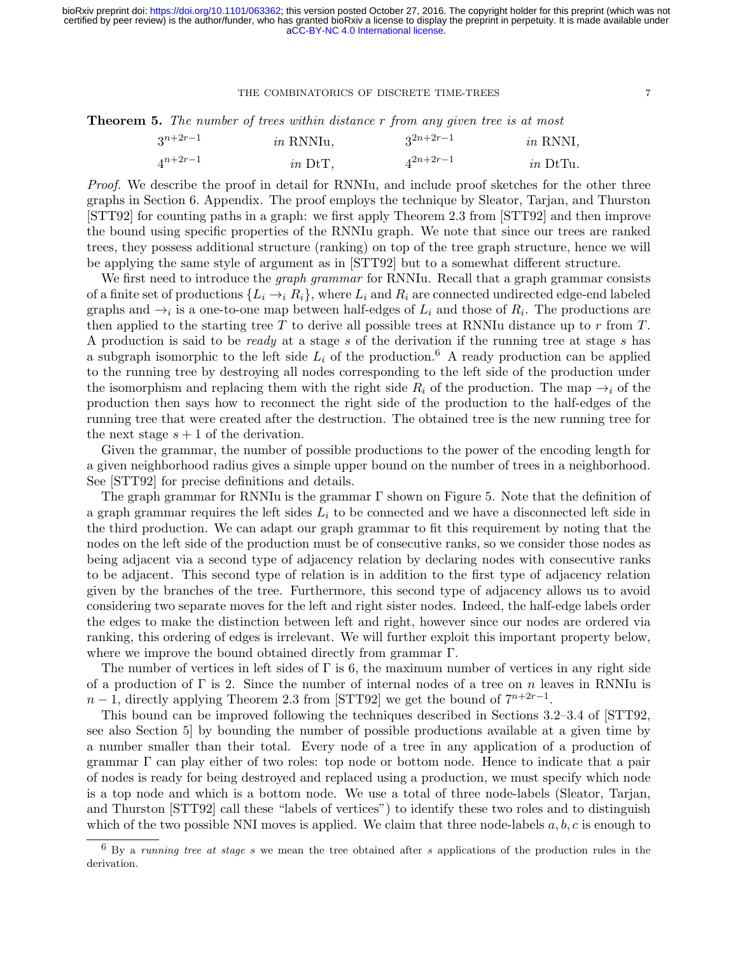<span id="page-7-1"></span>**Theorem 5.** The number of trees within distance r from any given tree is at most

| $3^{n+2r-1}$ | $in$ RNNIu, | $3^{2n+2r-1}$ | $in$ RNNI, |
|--------------|-------------|---------------|------------|
| $4^{n+2r-1}$ | $in$ DtT,   | $4^{2n+2r-1}$ | $in$ DtTu. |

Proof. We describe the proof in detail for RNNIu, and include proof sketches for the other three graphs in Section [6.](#page-14-0) Appendix. The proof employs the technique by Sleator, Tarjan, and Thurston [\[STT92\]](#page-17-9) for counting paths in a graph: we first apply Theorem 2.3 from [\[STT92\]](#page-17-9) and then improve the bound using specific properties of the RNNIu graph. We note that since our trees are ranked trees, they possess additional structure (ranking) on top of the tree graph structure, hence we will be applying the same style of argument as in [\[STT92\]](#page-17-9) but to a somewhat different structure.

We first need to introduce the *graph grammar* for RNNIu. Recall that a graph grammar consists of a finite set of productions  $\{L_i \to i \ R_i\}$ , where  $L_i$  and  $R_i$  are connected undirected edge-end labeled graphs and  $\rightarrow_i$  is a one-to-one map between half-edges of  $L_i$  and those of  $R_i$ . The productions are then applied to the starting tree T to derive all possible trees at RNNIu distance up to  $r$  from T. A production is said to be ready at a stage s of the derivation if the running tree at stage s has a subgraph isomorphic to the left side  $L_i$  of the production.<sup>[6](#page-7-0)</sup> A ready production can be applied to the running tree by destroying all nodes corresponding to the left side of the production under the isomorphism and replacing them with the right side  $R_i$  of the production. The map  $\rightarrow_i$  of the production then says how to reconnect the right side of the production to the half-edges of the running tree that were created after the destruction. The obtained tree is the new running tree for the next stage  $s + 1$  of the derivation.

Given the grammar, the number of possible productions to the power of the encoding length for a given neighborhood radius gives a simple upper bound on the number of trees in a neighborhood. See [\[STT92\]](#page-17-9) for precise definitions and details.

The graph grammar for RNNIu is the grammar Γ shown on Figure [5.](#page-8-0) Note that the definition of a graph grammar requires the left sides  $L_i$  to be connected and we have a disconnected left side in the third production. We can adapt our graph grammar to fit this requirement by noting that the nodes on the left side of the production must be of consecutive ranks, so we consider those nodes as being adjacent via a second type of adjacency relation by declaring nodes with consecutive ranks to be adjacent. This second type of relation is in addition to the first type of adjacency relation given by the branches of the tree. Furthermore, this second type of adjacency allows us to avoid considering two separate moves for the left and right sister nodes. Indeed, the half-edge labels order the edges to make the distinction between left and right, however since our nodes are ordered via ranking, this ordering of edges is irrelevant. We will further exploit this important property below, where we improve the bound obtained directly from grammar Γ.

The number of vertices in left sides of  $\Gamma$  is 6, the maximum number of vertices in any right side of a production of  $\Gamma$  is 2. Since the number of internal nodes of a tree on n leaves in RNNIu is  $n-1$ , directly applying Theorem 2.3 from [\[STT92\]](#page-17-9) we get the bound of  $7^{n+2r-1}$ .

This bound can be improved following the techniques described in Sections 3.2–3.4 of [\[STT92,](#page-17-9) see also Section 5] by bounding the number of possible productions available at a given time by a number smaller than their total. Every node of a tree in any application of a production of grammar Γ can play either of two roles: top node or bottom node. Hence to indicate that a pair of nodes is ready for being destroyed and replaced using a production, we must specify which node is a top node and which is a bottom node. We use a total of three node-labels (Sleator, Tarjan, and Thurston [\[STT92\]](#page-17-9) call these "labels of vertices") to identify these two roles and to distinguish which of the two possible NNI moves is applied. We claim that three node-labels  $a, b, c$  is enough to

<span id="page-7-0"></span> $6$  By a running tree at stage s we mean the tree obtained after s applications of the production rules in the derivation.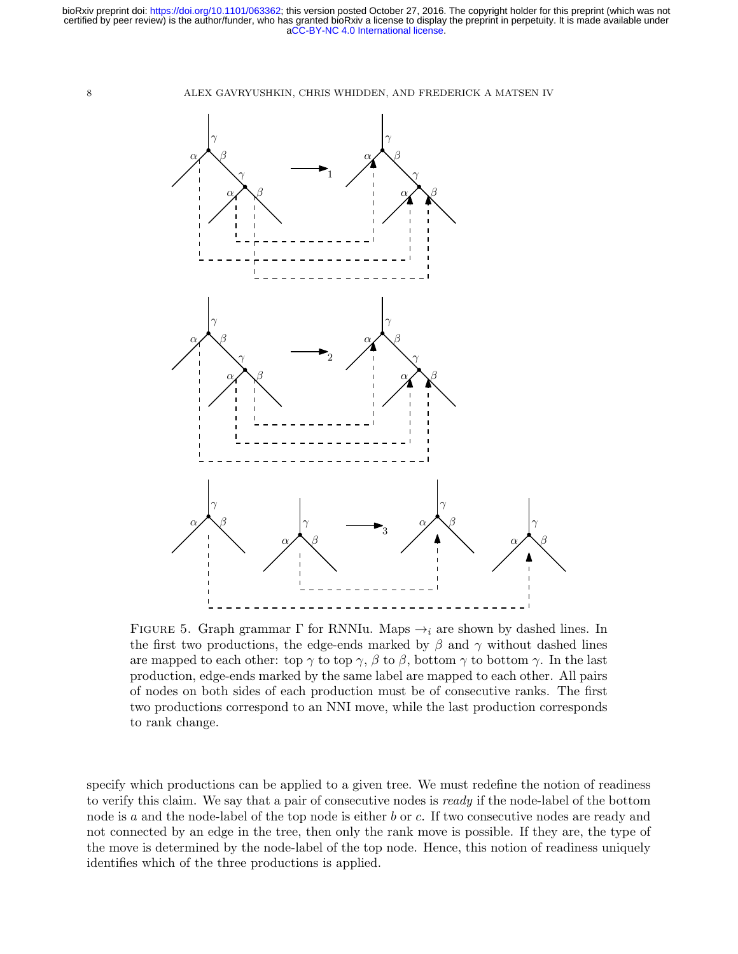[aCC-BY-NC 4.0 International license.](http://creativecommons.org/licenses/by-nc/4.0/) certified by peer review) is the author/funder, who has granted bioRxiv a license to display the preprint in perpetuity. It is made available under bioRxiv preprint doi: [https://doi.org/10.1101/063362;](https://doi.org/10.1101/063362) this version posted October 27, 2016. The copyright holder for this preprint (which was not

8 ALEX GAVRYUSHKIN, CHRIS WHIDDEN, AND FREDERICK A MATSEN IV



<span id="page-8-0"></span>FIGURE 5. Graph grammar  $\Gamma$  for RNNIu. Maps  $\rightarrow_i$  are shown by dashed lines. In the first two productions, the edge-ends marked by  $\beta$  and  $\gamma$  without dashed lines are mapped to each other: top  $\gamma$  to top  $\gamma$ ,  $\beta$  to  $\beta$ , bottom  $\gamma$  to bottom  $\gamma$ . In the last production, edge-ends marked by the same label are mapped to each other. All pairs of nodes on both sides of each production must be of consecutive ranks. The first two productions correspond to an NNI move, while the last production corresponds to rank change.

specify which productions can be applied to a given tree. We must redefine the notion of readiness to verify this claim. We say that a pair of consecutive nodes is ready if the node-label of the bottom node is a and the node-label of the top node is either b or c. If two consecutive nodes are ready and not connected by an edge in the tree, then only the rank move is possible. If they are, the type of the move is determined by the node-label of the top node. Hence, this notion of readiness uniquely identifies which of the three productions is applied.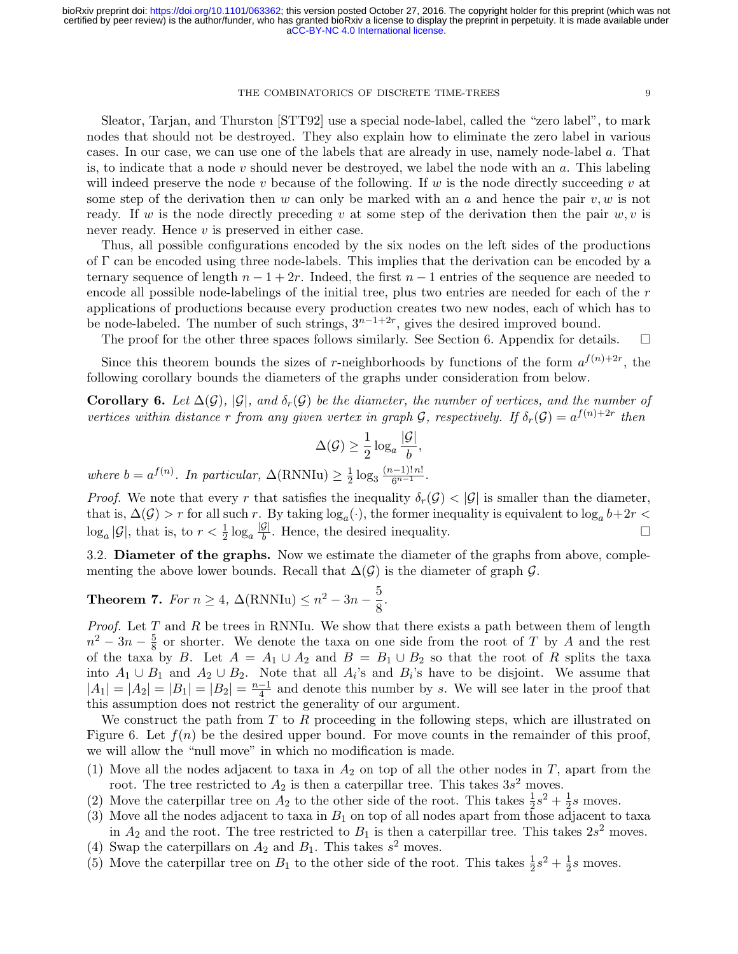Sleator, Tarjan, and Thurston [\[STT92\]](#page-17-9) use a special node-label, called the "zero label", to mark nodes that should not be destroyed. They also explain how to eliminate the zero label in various cases. In our case, we can use one of the labels that are already in use, namely node-label a. That is, to indicate that a node v should never be destroyed, we label the node with an  $a$ . This labeling will indeed preserve the node v because of the following. If w is the node directly succeeding v at some step of the derivation then w can only be marked with an a and hence the pair  $v, w$  is not ready. If w is the node directly preceding v at some step of the derivation then the pair  $w, v$  is never ready. Hence v is preserved in either case.

Thus, all possible configurations encoded by the six nodes on the left sides of the productions of Γ can be encoded using three node-labels. This implies that the derivation can be encoded by a ternary sequence of length  $n - 1 + 2r$ . Indeed, the first  $n - 1$  entries of the sequence are needed to encode all possible node-labelings of the initial tree, plus two entries are needed for each of the r applications of productions because every production creates two new nodes, each of which has to be node-labeled. The number of such strings,  $3^{n-1+2r}$ , gives the desired improved bound.

The proof for the other three spaces follows similarly. See Section [6.](#page-14-0) Appendix for details.  $\square$ 

Since this theorem bounds the sizes of r-neighborhoods by functions of the form  $a^{f(n)+2r}$ , the following corollary bounds the diameters of the graphs under consideration from below.

**Corollary 6.** Let  $\Delta(G)$ ,  $|\mathcal{G}|$ , and  $\delta_r(\mathcal{G})$  be the diameter, the number of vertices, and the number of vertices within distance r from any given vertex in graph  $G$ , respectively. If  $\delta_r(G) = a^{f(n)+2r}$  then

$$
\Delta(\mathcal{G}) \ge \frac{1}{2} \log_a \frac{|\mathcal{G}|}{b},
$$

where  $b = a^{f(n)}$ . In particular,  $\Delta(\text{RNNIu}) \geq \frac{1}{2}$  $rac{1}{2} \log_3 \frac{(n-1)! \, n!}{6^{n-1}}$ .

*Proof.* We note that every r that satisfies the inequality  $\delta_r(\mathcal{G}) < |\mathcal{G}|$  is smaller than the diameter, that is,  $\Delta(G) > r$  for all such r. By taking  $log_a(\cdot)$ , the former inequality is equivalent to  $log_a b + 2r <$  $\log_a |\mathcal{G}|$ , that is, to  $r < \frac{1}{2} \log_a \frac{|\mathcal{G}|}{b}$  $\frac{G}{b}$ . Hence, the desired inequality.

3.2. Diameter of the graphs. Now we estimate the diameter of the graphs from above, complementing the above lower bounds. Recall that  $\Delta(G)$  is the diameter of graph G.

# <span id="page-9-0"></span>Theorem 7. For  $n \geq 4$ ,  $\Delta(\text{RNNIu}) \leq n^2 - 3n - \frac{5}{8}$  $\frac{8}{8}$ .

*Proof.* Let  $T$  and  $R$  be trees in RNNIu. We show that there exists a path between them of length  $n^2-3n-\frac{5}{8}$  $\frac{5}{8}$  or shorter. We denote the taxa on one side from the root of T by A and the rest of the taxa by B. Let  $A = A_1 \cup A_2$  and  $B = B_1 \cup B_2$  so that the root of R splits the taxa into  $A_1 \cup B_1$  and  $A_2 \cup B_2$ . Note that all  $A_i$ 's and  $B_i$ 's have to be disjoint. We assume that  $|A_1| = |A_2| = |B_1| = |B_2| = \frac{n-1}{4}$  $\frac{-1}{4}$  and denote this number by s. We will see later in the proof that this assumption does not restrict the generality of our argument.

We construct the path from  $T$  to  $R$  proceeding in the following steps, which are illustrated on Figure [6.](#page-10-0) Let  $f(n)$  be the desired upper bound. For move counts in the remainder of this proof, we will allow the "null move" in which no modification is made.

- (1) Move all the nodes adjacent to taxa in  $A_2$  on top of all the other nodes in T, apart from the root. The tree restricted to  $A_2$  is then a caterpillar tree. This takes  $3s^2$  moves.
- (2) Move the caterpillar tree on  $A_2$  to the other side of the root. This takes  $\frac{1}{2}s^2 + \frac{1}{2}$  $\frac{1}{2}s$  moves.
- (3) Move all the nodes adjacent to taxa in  $B_1$  on top of all nodes apart from those adjacent to taxa in  $A_2$  and the root. The tree restricted to  $B_1$  is then a caterpillar tree. This takes  $2s^2$  moves.
- (4) Swap the caterpillars on  $A_2$  and  $B_1$ . This takes  $s^2$  moves.
- (5) Move the caterpillar tree on  $B_1$  to the other side of the root. This takes  $\frac{1}{2}s^2 + \frac{1}{2}$  $\frac{1}{2}s$  moves.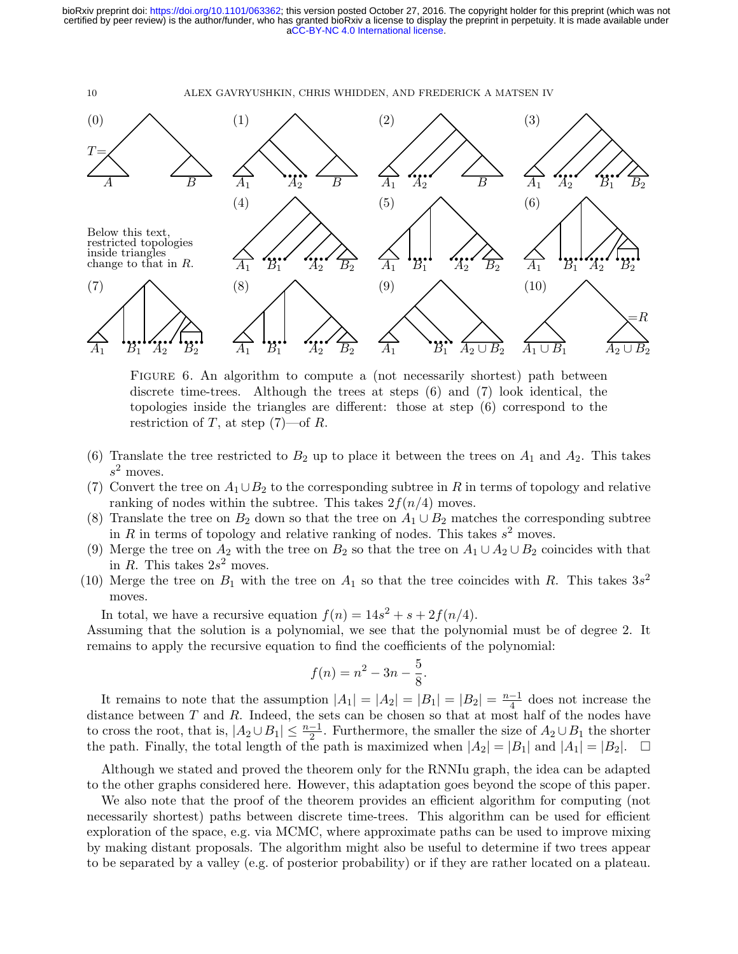[aCC-BY-NC 4.0 International license.](http://creativecommons.org/licenses/by-nc/4.0/) certified by peer review) is the author/funder, who has granted bioRxiv a license to display the preprint in perpetuity. It is made available under bioRxiv preprint doi: [https://doi.org/10.1101/063362;](https://doi.org/10.1101/063362) this version posted October 27, 2016. The copyright holder for this preprint (which was not

10 ALEX GAVRYUSHKIN, CHRIS WHIDDEN, AND FREDERICK A MATSEN IV



<span id="page-10-0"></span>FIGURE 6. An algorithm to compute a (not necessarily shortest) path between discrete time-trees. Although the trees at steps (6) and (7) look identical, the topologies inside the triangles are different: those at step (6) correspond to the restriction of T, at step  $(7)$ —of R.

- (6) Translate the tree restricted to  $B_2$  up to place it between the trees on  $A_1$  and  $A_2$ . This takes  $s^2$  moves.
- (7) Convert the tree on  $A_1 \cup B_2$  to the corresponding subtree in R in terms of topology and relative ranking of nodes within the subtree. This takes  $2f(n/4)$  moves.
- (8) Translate the tree on  $B_2$  down so that the tree on  $A_1 \cup B_2$  matches the corresponding subtree in R in terms of topology and relative ranking of nodes. This takes  $s^2$  moves.
- (9) Merge the tree on  $A_2$  with the tree on  $B_2$  so that the tree on  $A_1 \cup A_2 \cup B_2$  coincides with that in R. This takes  $2s^2$  moves.
- (10) Merge the tree on  $B_1$  with the tree on  $A_1$  so that the tree coincides with R. This takes  $3s^2$ moves.

In total, we have a recursive equation  $f(n) = 14s^2 + s + 2f(n/4)$ .

Assuming that the solution is a polynomial, we see that the polynomial must be of degree 2. It remains to apply the recursive equation to find the coefficients of the polynomial:

$$
f(n) = n^2 - 3n - \frac{5}{8}.
$$

It remains to note that the assumption  $|A_1| = |A_2| = |B_1| = |B_2| = \frac{n-1}{4}$  $\frac{-1}{4}$  does not increase the distance between  $T$  and  $R$ . Indeed, the sets can be chosen so that at most half of the nodes have to cross the root, that is,  $|A_2 \cup B_1| \leq \frac{n-1}{2}$ . Furthermore, the smaller the size of  $A_2 \cup B_1$  the shorter the path. Finally, the total length of the path is maximized when  $|A_2| = |B_1|$  and  $|A_1| = |B_2|$ .  $\Box$ 

Although we stated and proved the theorem only for the RNNIu graph, the idea can be adapted to the other graphs considered here. However, this adaptation goes beyond the scope of this paper.

We also note that the proof of the theorem provides an efficient algorithm for computing (not necessarily shortest) paths between discrete time-trees. This algorithm can be used for efficient exploration of the space, e.g. via MCMC, where approximate paths can be used to improve mixing by making distant proposals. The algorithm might also be useful to determine if two trees appear to be separated by a valley (e.g. of posterior probability) or if they are rather located on a plateau.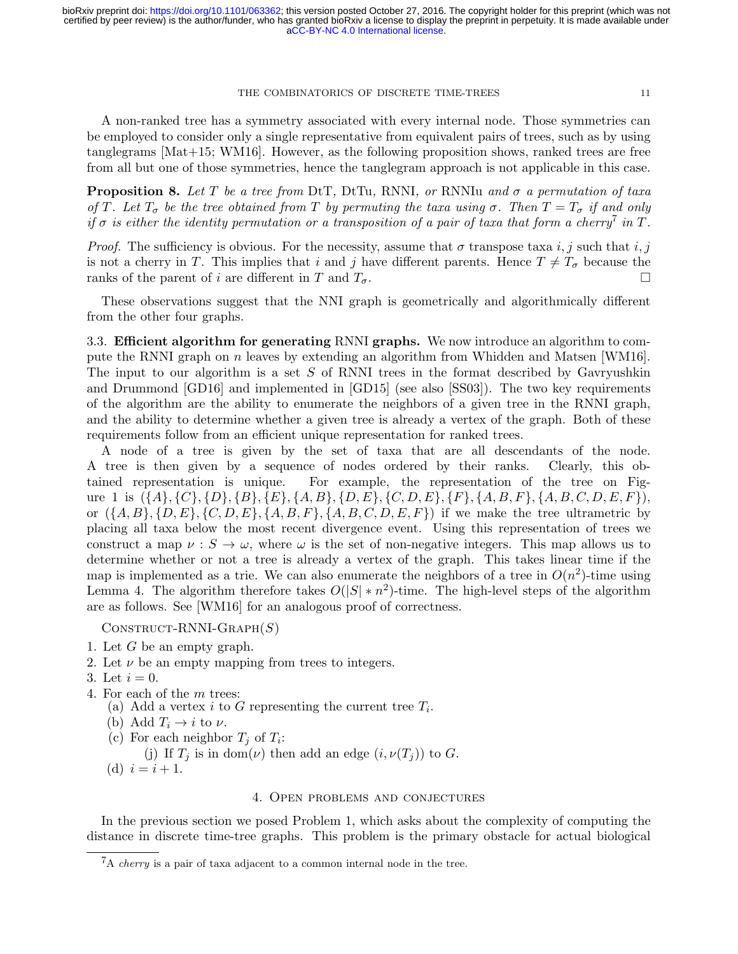A non-ranked tree has a symmetry associated with every internal node. Those symmetries can be employed to consider only a single representative from equivalent pairs of trees, such as by using tanglegrams [\[Mat+15;](#page-16-12) [WM16\]](#page-17-10). However, as the following proposition shows, ranked trees are free from all but one of those symmetries, hence the tanglegram approach is not applicable in this case.

**Proposition 8.** Let T be a tree from DtT, DtTu, RNNI, or RNNIu and  $\sigma$  a permutation of taxa of T. Let  $T_{\sigma}$  be the tree obtained from T by permuting the taxa using  $\sigma$ . Then  $T = T_{\sigma}$  if and only if  $\sigma$  is either the identity permutation or a transposition of a pair of taxa that form a cherry<sup>[7](#page-11-0)</sup> in T.

*Proof.* The sufficiency is obvious. For the necessity, assume that  $\sigma$  transpose taxa i, j such that i, j is not a cherry in T. This implies that i and j have different parents. Hence  $T \neq T_{\sigma}$  because the ranks of the parent of i are different in T and  $T_{\sigma}$ . ranks of the parent of i are different in T and  $T_{\sigma}$ .

These observations suggest that the NNI graph is geometrically and algorithmically different from the other four graphs.

3.3. Efficient algorithm for generating RNNI graphs. We now introduce an algorithm to compute the RNNI graph on n leaves by extending an algorithm from Whidden and Matsen [\[WM16\]](#page-17-10). The input to our algorithm is a set  $S$  of RNNI trees in the format described by Gavryushkin and Drummond [\[GD16\]](#page-16-10) and implemented in [\[GD15\]](#page-15-10) (see also [\[SS03\]](#page-17-7)). The two key requirements of the algorithm are the ability to enumerate the neighbors of a given tree in the RNNI graph, and the ability to determine whether a given tree is already a vertex of the graph. Both of these requirements follow from an efficient unique representation for ranked trees.

A node of a tree is given by the set of taxa that are all descendants of the node. A tree is then given by a sequence of nodes ordered by their ranks. Clearly, this obtained representation is unique. For example, the representation of the tree on Fig-ure [1](#page-1-0) is  $({A}, {C}, {D}, {B}, {E}, {A, B}, {D, E}, {C, D, E}, {F}, {A, B, F}, {A, B, C, D, E, F})$ , or  $({A, B}, {D, E}, {C, D, E}, {A, B, F}, {A, B, C, D, E, F})$  if we make the tree ultrametric by placing all taxa below the most recent divergence event. Using this representation of trees we construct a map  $\nu : S \to \omega$ , where  $\omega$  is the set of non-negative integers. This map allows us to determine whether or not a tree is already a vertex of the graph. This takes linear time if the map is implemented as a trie. We can also enumerate the neighbors of a tree in  $O(n^2)$ -time using Lemma [4.](#page-6-1) The algorithm therefore takes  $O(|S| * n^2)$ -time. The high-level steps of the algorithm are as follows. See [\[WM16\]](#page-17-10) for an analogous proof of correctness.

 $CONSTRUCT-RNNI-GRAPH(S)$ 

- 1. Let G be an empty graph.
- 2. Let  $\nu$  be an empty mapping from trees to integers.
- 3. Let  $i = 0$ .
- 4. For each of the m trees:
	- (a) Add a vertex i to G representing the current tree  $T_i$ .
	- (b) Add  $T_i \rightarrow i$  to  $\nu$ .
	- (c) For each neighbor  $T_j$  of  $T_i$ :
	- (j) If  $T_j$  is in dom( $\nu$ ) then add an edge  $(i, \nu(T_j))$  to G.
	- (d)  $i = i + 1$ .

# 4. Open problems and conjectures

In the previous section we posed Problem [1,](#page-4-3) which asks about the complexity of computing the distance in discrete time-tree graphs. This problem is the primary obstacle for actual biological

<span id="page-11-0"></span> ${}^{7}$ A *cherry* is a pair of taxa adjacent to a common internal node in the tree.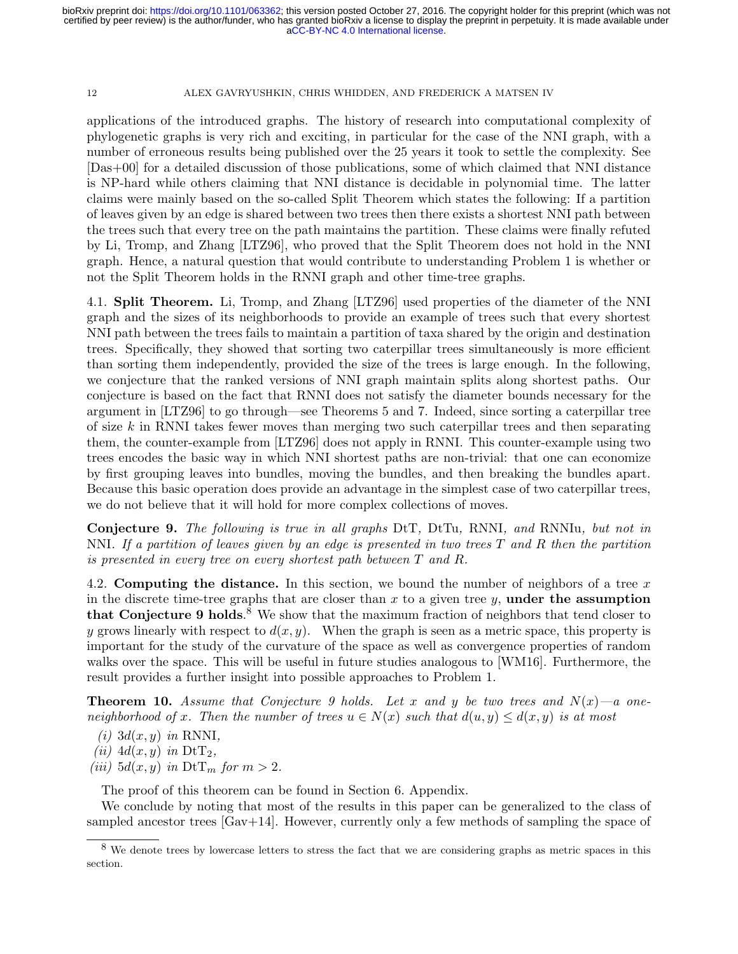applications of the introduced graphs. The history of research into computational complexity of phylogenetic graphs is very rich and exciting, in particular for the case of the NNI graph, with a number of erroneous results being published over the 25 years it took to settle the complexity. See [\[Das+00\]](#page-15-8) for a detailed discussion of those publications, some of which claimed that NNI distance is NP-hard while others claiming that NNI distance is decidable in polynomial time. The latter claims were mainly based on the so-called Split Theorem which states the following: If a partition of leaves given by an edge is shared between two trees then there exists a shortest NNI path between the trees such that every tree on the path maintains the partition. These claims were finally refuted by Li, Tromp, and Zhang [\[LTZ96\]](#page-16-11), who proved that the Split Theorem does not hold in the NNI graph. Hence, a natural question that would contribute to understanding Problem [1](#page-4-3) is whether or not the Split Theorem holds in the RNNI graph and other time-tree graphs.

4.1. Split Theorem. Li, Tromp, and Zhang [\[LTZ96\]](#page-16-11) used properties of the diameter of the NNI graph and the sizes of its neighborhoods to provide an example of trees such that every shortest NNI path between the trees fails to maintain a partition of taxa shared by the origin and destination trees. Specifically, they showed that sorting two caterpillar trees simultaneously is more efficient than sorting them independently, provided the size of the trees is large enough. In the following, we conjecture that the ranked versions of NNI graph maintain splits along shortest paths. Our conjecture is based on the fact that RNNI does not satisfy the diameter bounds necessary for the argument in [\[LTZ96\]](#page-16-11) to go through—see Theorems [5](#page-7-1) and [7.](#page-9-0) Indeed, since sorting a caterpillar tree of size  $k$  in RNNI takes fewer moves than merging two such caterpillar trees and then separating them, the counter-example from [\[LTZ96\]](#page-16-11) does not apply in RNNI. This counter-example using two trees encodes the basic way in which NNI shortest paths are non-trivial: that one can economize by first grouping leaves into bundles, moving the bundles, and then breaking the bundles apart. Because this basic operation does provide an advantage in the simplest case of two caterpillar trees, we do not believe that it will hold for more complex collections of moves.

<span id="page-12-0"></span>Conjecture 9. The following is true in all graphs DtT, DtTu, RNNI, and RNNIu, but not in NNI. If a partition of leaves given by an edge is presented in two trees T and R then the partition is presented in every tree on every shortest path between T and R.

4.2. Computing the distance. In this section, we bound the number of neighbors of a tree  $x$ in the discrete time-tree graphs that are closer than  $x$  to a given tree  $y$ , under the assumption that Conjecture [9](#page-12-0) holds.<sup>[8](#page-12-1)</sup> We show that the maximum fraction of neighbors that tend closer to y grows linearly with respect to  $d(x, y)$ . When the graph is seen as a metric space, this property is important for the study of the curvature of the space as well as convergence properties of random walks over the space. This will be useful in future studies analogous to [\[WM16\]](#page-17-10). Furthermore, the result provides a further insight into possible approaches to Problem [1.](#page-4-3)

<span id="page-12-2"></span>**Theorem 10.** Assume that Conjecture [9](#page-12-0) holds. Let x and y be two trees and  $N(x)$ —a oneneighborhood of x. Then the number of trees  $u \in N(x)$  such that  $d(u, y) \leq d(x, y)$  is at most

 $(i)$  3d $(x, y)$  in RNNI,

(ii)  $4d(x, y)$  in  $\text{DtT}_2$ ,

(iii)  $5d(x, y)$  in  $DtT_m$  for  $m > 2$ .

The proof of this theorem can be found in Section [6.](#page-14-0) Appendix.

We conclude by noting that most of the results in this paper can be generalized to the class of sampled ancestor trees  $[Gav+14]$ . However, currently only a few methods of sampling the space of

<span id="page-12-1"></span><sup>&</sup>lt;sup>8</sup> We denote trees by lowercase letters to stress the fact that we are considering graphs as metric spaces in this section.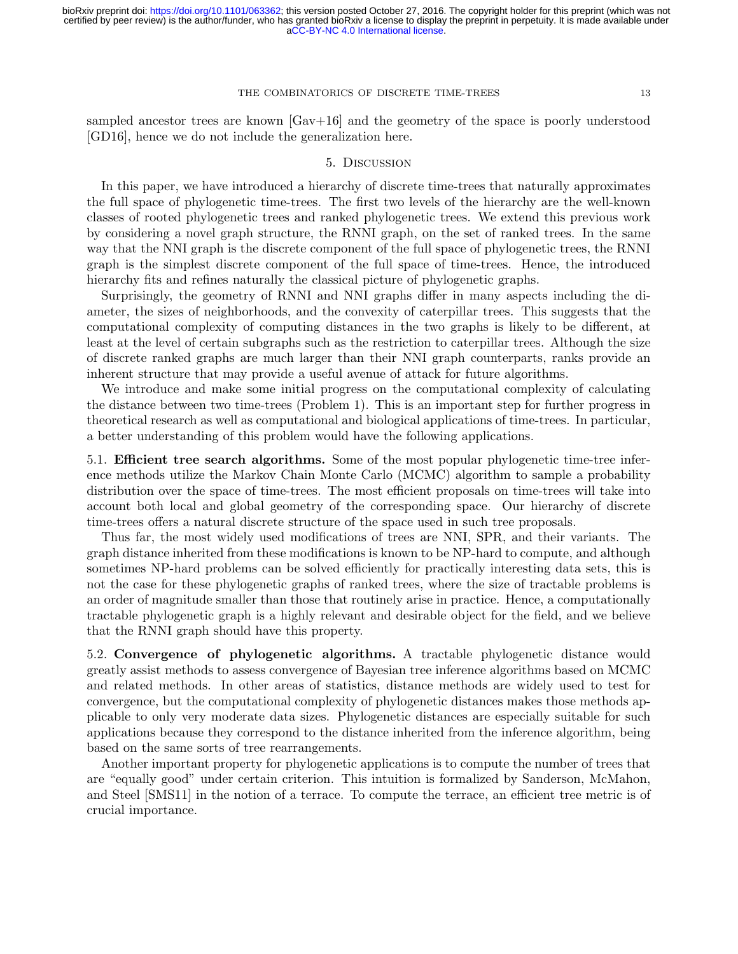sampled ancestor trees are known [\[Gav+16\]](#page-15-12) and the geometry of the space is poorly understood [\[GD16\]](#page-16-10), hence we do not include the generalization here.

## 5. Discussion

In this paper, we have introduced a hierarchy of discrete time-trees that naturally approximates the full space of phylogenetic time-trees. The first two levels of the hierarchy are the well-known classes of rooted phylogenetic trees and ranked phylogenetic trees. We extend this previous work by considering a novel graph structure, the RNNI graph, on the set of ranked trees. In the same way that the NNI graph is the discrete component of the full space of phylogenetic trees, the RNNI graph is the simplest discrete component of the full space of time-trees. Hence, the introduced hierarchy fits and refines naturally the classical picture of phylogenetic graphs.

Surprisingly, the geometry of RNNI and NNI graphs differ in many aspects including the diameter, the sizes of neighborhoods, and the convexity of caterpillar trees. This suggests that the computational complexity of computing distances in the two graphs is likely to be different, at least at the level of certain subgraphs such as the restriction to caterpillar trees. Although the size of discrete ranked graphs are much larger than their NNI graph counterparts, ranks provide an inherent structure that may provide a useful avenue of attack for future algorithms.

We introduce and make some initial progress on the computational complexity of calculating the distance between two time-trees (Problem [1\)](#page-4-3). This is an important step for further progress in theoretical research as well as computational and biological applications of time-trees. In particular, a better understanding of this problem would have the following applications.

5.1. Efficient tree search algorithms. Some of the most popular phylogenetic time-tree inference methods utilize the Markov Chain Monte Carlo (MCMC) algorithm to sample a probability distribution over the space of time-trees. The most efficient proposals on time-trees will take into account both local and global geometry of the corresponding space. Our hierarchy of discrete time-trees offers a natural discrete structure of the space used in such tree proposals.

Thus far, the most widely used modifications of trees are NNI, SPR, and their variants. The graph distance inherited from these modifications is known to be NP-hard to compute, and although sometimes NP-hard problems can be solved efficiently for practically interesting data sets, this is not the case for these phylogenetic graphs of ranked trees, where the size of tractable problems is an order of magnitude smaller than those that routinely arise in practice. Hence, a computationally tractable phylogenetic graph is a highly relevant and desirable object for the field, and we believe that the RNNI graph should have this property.

5.2. Convergence of phylogenetic algorithms. A tractable phylogenetic distance would greatly assist methods to assess convergence of Bayesian tree inference algorithms based on MCMC and related methods. In other areas of statistics, distance methods are widely used to test for convergence, but the computational complexity of phylogenetic distances makes those methods applicable to only very moderate data sizes. Phylogenetic distances are especially suitable for such applications because they correspond to the distance inherited from the inference algorithm, being based on the same sorts of tree rearrangements.

Another important property for phylogenetic applications is to compute the number of trees that are "equally good" under certain criterion. This intuition is formalized by Sanderson, McMahon, and Steel [\[SMS11\]](#page-17-11) in the notion of a terrace. To compute the terrace, an efficient tree metric is of crucial importance.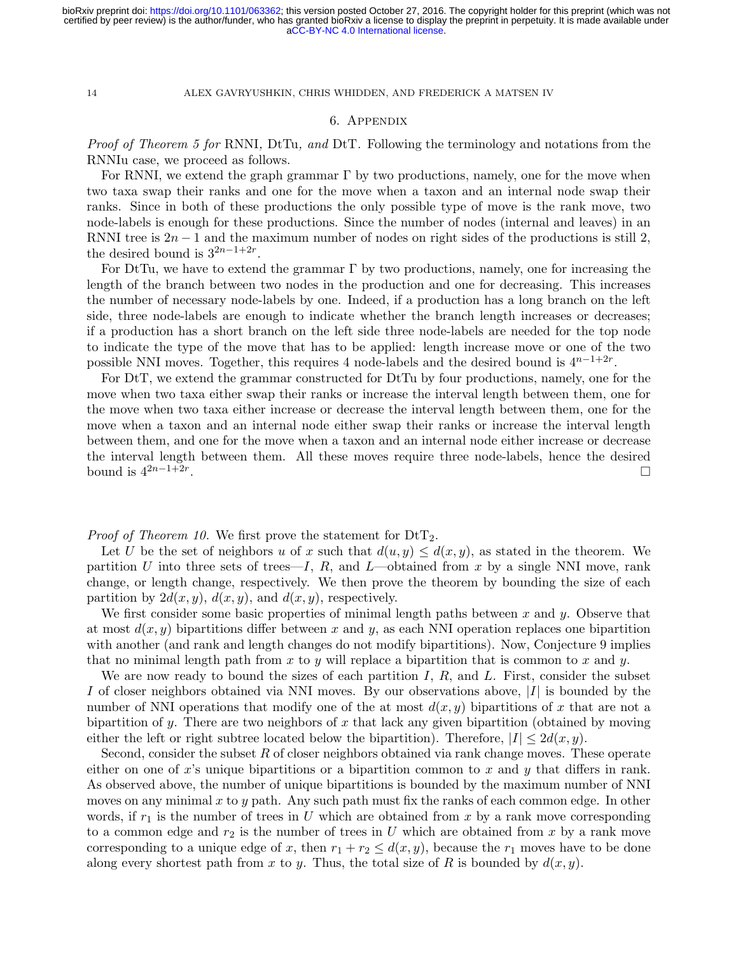## 6. Appendix

<span id="page-14-0"></span>Proof of Theorem [5](#page-7-1) for RNNI, DtTu, and DtT. Following the terminology and notations from the RNNIu case, we proceed as follows.

For RNNI, we extend the graph grammar  $\Gamma$  by two productions, namely, one for the move when two taxa swap their ranks and one for the move when a taxon and an internal node swap their ranks. Since in both of these productions the only possible type of move is the rank move, two node-labels is enough for these productions. Since the number of nodes (internal and leaves) in an RNNI tree is  $2n - 1$  and the maximum number of nodes on right sides of the productions is still 2, the desired bound is  $3^{2n-1+2r}$ .

For DtTu, we have to extend the grammar  $\Gamma$  by two productions, namely, one for increasing the length of the branch between two nodes in the production and one for decreasing. This increases the number of necessary node-labels by one. Indeed, if a production has a long branch on the left side, three node-labels are enough to indicate whether the branch length increases or decreases; if a production has a short branch on the left side three node-labels are needed for the top node to indicate the type of the move that has to be applied: length increase move or one of the two possible NNI moves. Together, this requires 4 node-labels and the desired bound is  $4^{n-1+2r}$ .

For DtT, we extend the grammar constructed for DtTu by four productions, namely, one for the move when two taxa either swap their ranks or increase the interval length between them, one for the move when two taxa either increase or decrease the interval length between them, one for the move when a taxon and an internal node either swap their ranks or increase the interval length between them, and one for the move when a taxon and an internal node either increase or decrease the interval length between them. All these moves require three node-labels, hence the desired bound is  $4^{2n-1+2r}$ . .

*Proof of Theorem [10.](#page-12-2)* We first prove the statement for  $DtT_2$ .

Let U be the set of neighbors u of x such that  $d(u, y) \leq d(x, y)$ , as stated in the theorem. We partition U into three sets of trees—I, R, and L—obtained from x by a single NNI move, rank change, or length change, respectively. We then prove the theorem by bounding the size of each partition by  $2d(x, y)$ ,  $d(x, y)$ , and  $d(x, y)$ , respectively.

We first consider some basic properties of minimal length paths between  $x$  and  $y$ . Observe that at most  $d(x, y)$  bipartitions differ between x and y, as each NNI operation replaces one bipartition with another (and rank and length changes do not modify bipartitions). Now, Conjecture [9](#page-12-0) implies that no minimal length path from x to y will replace a bipartition that is common to x and y.

We are now ready to bound the sizes of each partition  $I, R$ , and  $L$ . First, consider the subset I of closer neighbors obtained via NNI moves. By our observations above,  $|I|$  is bounded by the number of NNI operations that modify one of the at most  $d(x, y)$  bipartitions of x that are not a bipartition of y. There are two neighbors of x that lack any given bipartition (obtained by moving either the left or right subtree located below the bipartition). Therefore,  $|I| \leq 2d(x,y)$ .

Second, consider the subset  $R$  of closer neighbors obtained via rank change moves. These operate either on one of x's unique bipartitions or a bipartition common to x and y that differs in rank. As observed above, the number of unique bipartitions is bounded by the maximum number of NNI moves on any minimal  $x$  to  $y$  path. Any such path must fix the ranks of each common edge. In other words, if  $r_1$  is the number of trees in U which are obtained from x by a rank move corresponding to a common edge and  $r_2$  is the number of trees in U which are obtained from x by a rank move corresponding to a unique edge of x, then  $r_1 + r_2 \leq d(x, y)$ , because the  $r_1$  moves have to be done along every shortest path from x to y. Thus, the total size of R is bounded by  $d(x, y)$ .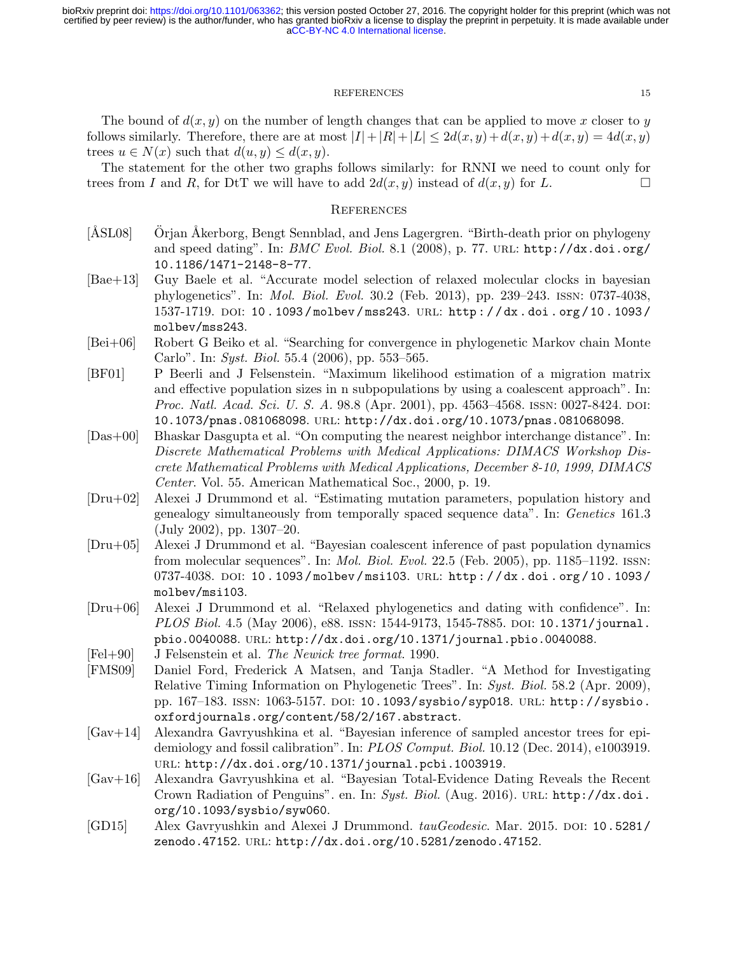## REFERENCES 15

The bound of  $d(x, y)$  on the number of length changes that can be applied to move x closer to y follows similarly. Therefore, there are at most  $|I|+|R|+|L| \leq 2d(x,y)+d(x,y)+d(x,y)=4d(x,y)$ trees  $u \in N(x)$  such that  $d(u, y) \leq d(x, y)$ .

The statement for the other two graphs follows similarly: for RNNI we need to count only for trees from I and R, for DtT we will have to add  $2d(x, y)$  instead of  $d(x, y)$  for L.

## **REFERENCES**

- <span id="page-15-6"></span>[ÅSL08] Orjan Åkerborg, Bengt Sennblad, and Jens Lagergren. "Birth-death prior on phylogeny and speed dating". In:  $BMC$  Evol. Biol. 8.1 (2008), p. 77. URL: [http://dx.doi.org/](http://dx.doi.org/10.1186/1471-2148-8-77) [10.1186/1471-2148-8-77](http://dx.doi.org/10.1186/1471-2148-8-77).
- <span id="page-15-4"></span>[Bae+13] Guy Baele et al. "Accurate model selection of relaxed molecular clocks in bayesian phylogenetics". In: Mol. Biol. Evol. 30.2 (Feb. 2013), pp. 239–243. issn: 0737-4038, 1537-1719. doi: [10 . 1093 / molbev / mss243](http://dx.doi.org/10.1093/molbev/mss243). url: [http : / / dx . doi . org / 10 . 1093 /](http://dx.doi.org/10.1093/molbev/mss243) [molbev/mss243](http://dx.doi.org/10.1093/molbev/mss243).
- <span id="page-15-5"></span>[Bei+06] Robert G Beiko et al. "Searching for convergence in phylogenetic Markov chain Monte Carlo". In: Syst. Biol. 55.4 (2006), pp. 553–565.
- <span id="page-15-0"></span>[BF01] P Beerli and J Felsenstein. "Maximum likelihood estimation of a migration matrix and effective population sizes in n subpopulations by using a coalescent approach". In: Proc. Natl. Acad. Sci. U. S. A. 98.8 (Apr. 2001), pp. 4563–4568. ISSN: 0027-8424. DOI: [10.1073/pnas.081068098](http://dx.doi.org/10.1073/pnas.081068098). url: <http://dx.doi.org/10.1073/pnas.081068098>.
- <span id="page-15-8"></span>[Das+00] Bhaskar Dasgupta et al. "On computing the nearest neighbor interchange distance". In: Discrete Mathematical Problems with Medical Applications: DIMACS Workshop Discrete Mathematical Problems with Medical Applications, December 8-10, 1999, DIMACS Center. Vol. 55. American Mathematical Soc., 2000, p. 19.
- <span id="page-15-1"></span>[Dru+02] Alexei J Drummond et al. "Estimating mutation parameters, population history and genealogy simultaneously from temporally spaced sequence data". In: Genetics 161.3 (July 2002), pp. 1307–20.
- <span id="page-15-2"></span>[Dru+05] Alexei J Drummond et al. "Bayesian coalescent inference of past population dynamics from molecular sequences". In: *Mol. Biol. Evol.* 22.5 (Feb. 2005), pp. 1185–1192. ISSN: 0737-4038. DOI: 10.1093/molbev/msi103. URL: http://dx.doi.org/10.1093/ [molbev/msi103](http://dx.doi.org/10.1093/molbev/msi103).
- <span id="page-15-3"></span>[Dru+06] Alexei J Drummond et al. "Relaxed phylogenetics and dating with confidence". In: PLOS Biol. 4.5 (May 2006), e88. ISSN: 1544-9173, 1545-7885. DOI: [10.1371/journal.](http://dx.doi.org/10.1371/journal.pbio.0040088) [pbio.0040088](http://dx.doi.org/10.1371/journal.pbio.0040088). url: <http://dx.doi.org/10.1371/journal.pbio.0040088>.
- <span id="page-15-9"></span>[Fel+90] J Felsenstein et al. The Newick tree format. 1990.
- <span id="page-15-7"></span>[FMS09] Daniel Ford, Frederick A Matsen, and Tanja Stadler. "A Method for Investigating Relative Timing Information on Phylogenetic Trees". In: Syst. Biol. 58.2 (Apr. 2009), pp. 167–183. issn: 1063-5157. doi: [10.1093/sysbio/syp018](http://dx.doi.org/10.1093/sysbio/syp018). url: [http://sysbio.](http://sysbio.oxfordjournals.org/content/58/2/167.abstract) [oxfordjournals.org/content/58/2/167.abstract](http://sysbio.oxfordjournals.org/content/58/2/167.abstract).
- <span id="page-15-11"></span>[Gav+14] Alexandra Gavryushkina et al. "Bayesian inference of sampled ancestor trees for epidemiology and fossil calibration". In: PLOS Comput. Biol. 10.12 (Dec. 2014), e1003919. url: <http://dx.doi.org/10.1371/journal.pcbi.1003919>.
- <span id="page-15-12"></span>[Gav+16] Alexandra Gavryushkina et al. "Bayesian Total-Evidence Dating Reveals the Recent Crown Radiation of Penguins". en. In: Syst. Biol. (Aug. 2016). URL: [http://dx.doi.](http://dx.doi.org/10.1093/sysbio/syw060) [org/10.1093/sysbio/syw060](http://dx.doi.org/10.1093/sysbio/syw060).
- <span id="page-15-10"></span>[GD15] Alex Gavryushkin and Alexei J Drummond. tau Geodesic. Mar. 2015. doi: [10.5281/](http://dx.doi.org/10.5281/zenodo.47152) [zenodo.47152](http://dx.doi.org/10.5281/zenodo.47152). url: <http://dx.doi.org/10.5281/zenodo.47152>.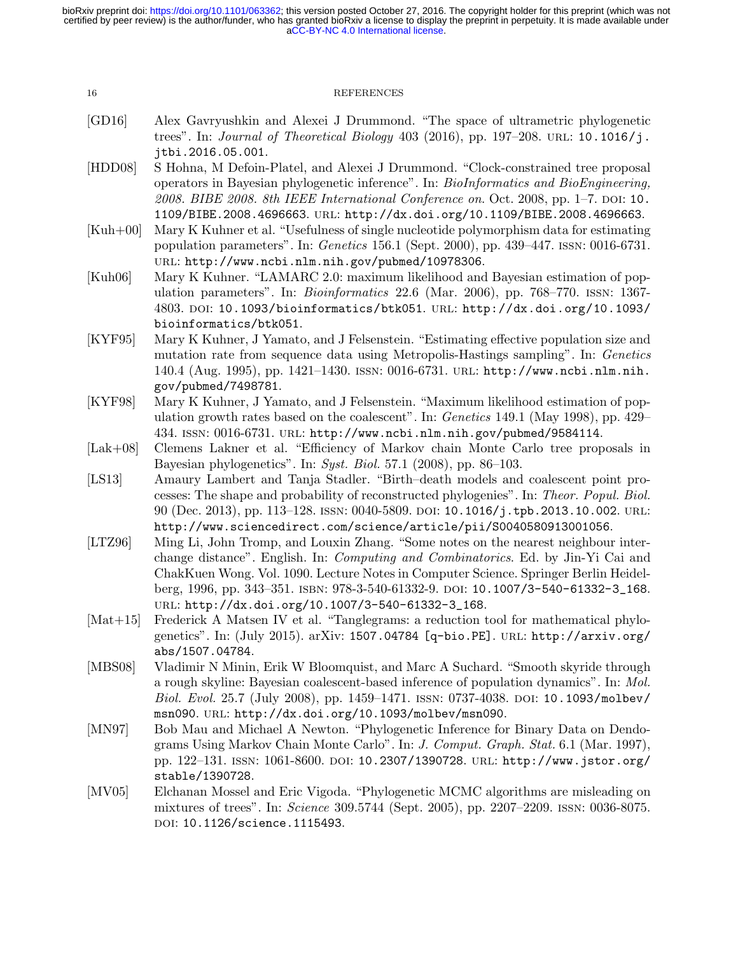| 16 | <b>REFERENCES</b> |
|----|-------------------|
|----|-------------------|

- <span id="page-16-10"></span>[GD16] Alex Gavryushkin and Alexei J Drummond. "The space of ultrametric phylogenetic trees". In: *Journal of Theoretical Biology* 403 (2016), pp. 197–208. URL: [10.1016/j.](10.1016/j.jtbi.2016.05.001) [jtbi.2016.05.001](10.1016/j.jtbi.2016.05.001).
- <span id="page-16-8"></span>[HDD08] S Hohna, M Defoin-Platel, and Alexei J Drummond. "Clock-constrained tree proposal operators in Bayesian phylogenetic inference". In: BioInformatics and BioEngineering,  $2008.$  BIBE  $2008.$  8th IEEE International Conference on. Oct. 2008, pp. 1–7. DOI: [10.](http://dx.doi.org/10.1109/BIBE.2008.4696663) [1109/BIBE.2008.4696663](http://dx.doi.org/10.1109/BIBE.2008.4696663). url: <http://dx.doi.org/10.1109/BIBE.2008.4696663>.
- <span id="page-16-2"></span>[Kuh+00] Mary K Kuhner et al. "Usefulness of single nucleotide polymorphism data for estimating population parameters". In: Genetics 156.1 (Sept. 2000), pp. 439–447. issn: 0016-6731. url: <http://www.ncbi.nlm.nih.gov/pubmed/10978306>.
- <span id="page-16-3"></span>[Kuh06] Mary K Kuhner. "LAMARC 2.0: maximum likelihood and Bayesian estimation of population parameters". In: *Bioinformatics* 22.6 (Mar. 2006), pp. 768–770. ISSN: 1367-4803. doi: [10.1093/bioinformatics/btk051](http://dx.doi.org/10.1093/bioinformatics/btk051). url: [http://dx.doi.org/10.1093/](http://dx.doi.org/10.1093/bioinformatics/btk051) [bioinformatics/btk051](http://dx.doi.org/10.1093/bioinformatics/btk051).
- <span id="page-16-0"></span>[KYF95] Mary K Kuhner, J Yamato, and J Felsenstein. "Estimating effective population size and mutation rate from sequence data using Metropolis-Hastings sampling". In: *Genetics* 140.4 (Aug. 1995), pp. 1421–1430. issn: 0016-6731. url: [http://www.ncbi.nlm.nih.](http://www.ncbi.nlm.nih.gov/pubmed/7498781) [gov/pubmed/7498781](http://www.ncbi.nlm.nih.gov/pubmed/7498781).
- <span id="page-16-1"></span>[KYF98] Mary K Kuhner, J Yamato, and J Felsenstein. "Maximum likelihood estimation of population growth rates based on the coalescent". In: *Genetics* 149.1 (May 1998), pp. 429– 434. issn: 0016-6731. url: <http://www.ncbi.nlm.nih.gov/pubmed/9584114>.
- <span id="page-16-7"></span>[Lak+08] Clemens Lakner et al. "Efficiency of Markov chain Monte Carlo tree proposals in Bayesian phylogenetics". In: Syst. Biol. 57.1 (2008), pp. 86–103.
- <span id="page-16-9"></span>[LS13] Amaury Lambert and Tanja Stadler. "Birth–death models and coalescent point processes: The shape and probability of reconstructed phylogenies". In: Theor. Popul. Biol. 90 (Dec. 2013), pp. 113–128. issn: 0040-5809. doi: [10.1016/j.tpb.2013.10.002](http://dx.doi.org/10.1016/j.tpb.2013.10.002). url: <http://www.sciencedirect.com/science/article/pii/S0040580913001056>.
- <span id="page-16-11"></span>[LTZ96] Ming Li, John Tromp, and Louxin Zhang. "Some notes on the nearest neighbour interchange distance". English. In: Computing and Combinatorics. Ed. by Jin-Yi Cai and ChakKuen Wong. Vol. 1090. Lecture Notes in Computer Science. Springer Berlin Heidelberg, 1996, pp. 343–351. isbn: 978-3-540-61332-9. doi: [10.1007/3-540-61332-3\\_168](http://dx.doi.org/10.1007/3-540-61332-3_168). url: [http://dx.doi.org/10.1007/3-540-61332-3\\_168](http://dx.doi.org/10.1007/3-540-61332-3_168).
- <span id="page-16-12"></span>[Mat+15] Frederick A Matsen IV et al. "Tanglegrams: a reduction tool for mathematical phylogenetics". In: (July 2015). arXiv: [1507.04784 \[q-bio.PE\]](http://arxiv.org/abs/1507.04784). url: [http://arxiv.org/](http://arxiv.org/abs/1507.04784) [abs/1507.04784](http://arxiv.org/abs/1507.04784).
- <span id="page-16-4"></span>[MBS08] Vladimir N Minin, Erik W Bloomquist, and Marc A Suchard. "Smooth skyride through a rough skyline: Bayesian coalescent-based inference of population dynamics". In: Mol. Biol. Evol. 25.7 (July 2008), pp. 1459-1471. ISSN: 0737-4038. DOI: [10.1093/molbev/](http://dx.doi.org/10.1093/molbev/msn090) [msn090](http://dx.doi.org/10.1093/molbev/msn090). url: <http://dx.doi.org/10.1093/molbev/msn090>.
- <span id="page-16-5"></span>[MN97] Bob Mau and Michael A Newton. "Phylogenetic Inference for Binary Data on Dendograms Using Markov Chain Monte Carlo". In: J. Comput. Graph. Stat. 6.1 (Mar. 1997), pp. 122–131. issn: 1061-8600. doi: [10.2307/1390728](http://dx.doi.org/10.2307/1390728). url: [http://www.jstor.org/](http://www.jstor.org/stable/1390728) [stable/1390728](http://www.jstor.org/stable/1390728).
- <span id="page-16-6"></span>[MV05] Elchanan Mossel and Eric Vigoda. "Phylogenetic MCMC algorithms are misleading on mixtures of trees". In: Science 309.5744 (Sept. 2005), pp. 2207–2209. issn: 0036-8075. DOI: [10.1126/science.1115493](http://dx.doi.org/10.1126/science.1115493).